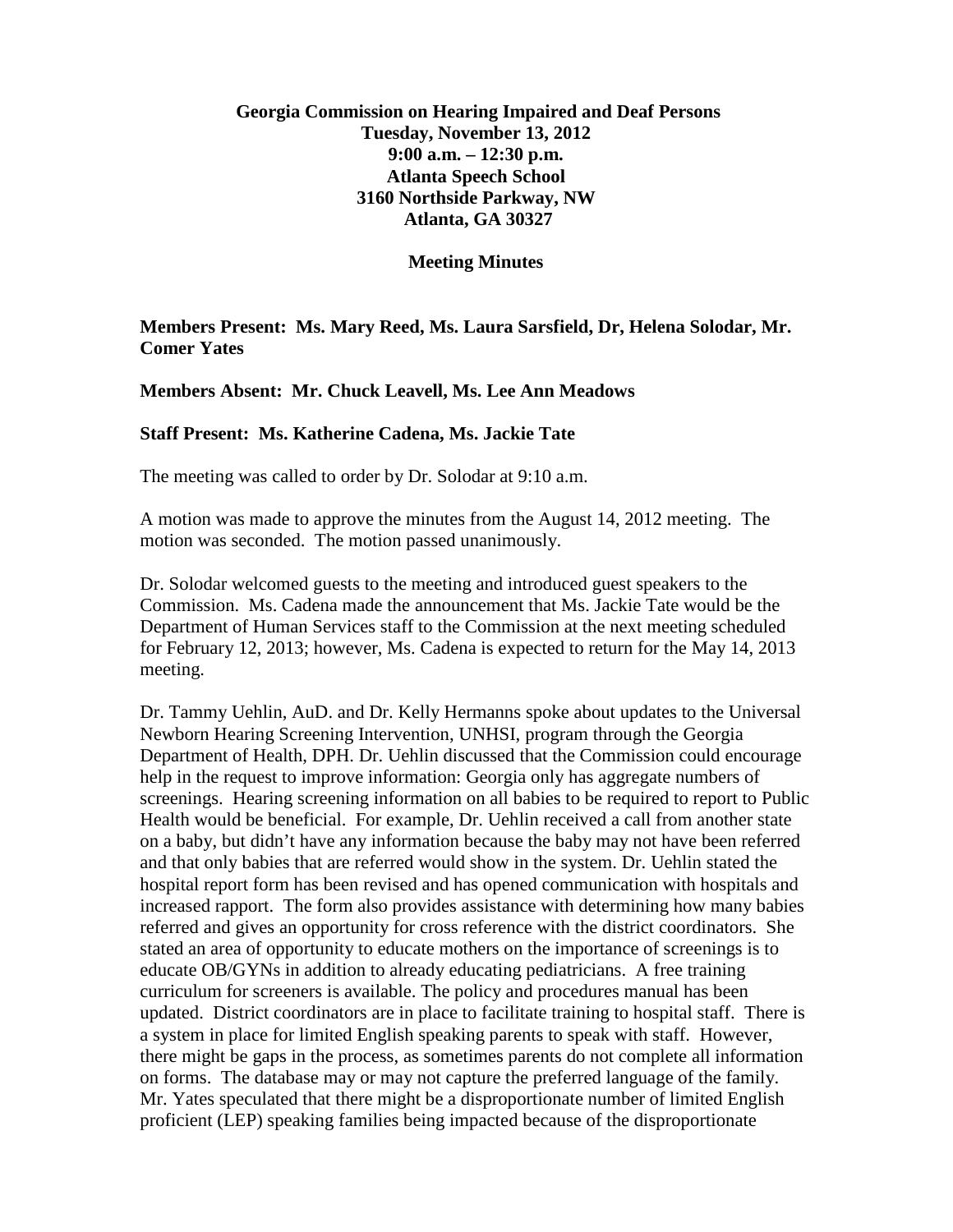## **Georgia Commission on Hearing Impaired and Deaf Persons Tuesday, November 13, 2012 9:00 a.m. – 12:30 p.m. Atlanta Speech School 3160 Northside Parkway, NW Atlanta, GA 30327**

**Meeting Minutes**

**Members Present: Ms. Mary Reed, Ms. Laura Sarsfield, Dr, Helena Solodar, Mr. Comer Yates**

**Members Absent: Mr. Chuck Leavell, Ms. Lee Ann Meadows**

## **Staff Present: Ms. Katherine Cadena, Ms. Jackie Tate**

The meeting was called to order by Dr. Solodar at 9:10 a.m.

A motion was made to approve the minutes from the August 14, 2012 meeting. The motion was seconded. The motion passed unanimously.

Dr. Solodar welcomed guests to the meeting and introduced guest speakers to the Commission. Ms. Cadena made the announcement that Ms. Jackie Tate would be the Department of Human Services staff to the Commission at the next meeting scheduled for February 12, 2013; however, Ms. Cadena is expected to return for the May 14, 2013 meeting.

Dr. Tammy Uehlin, AuD. and Dr. Kelly Hermanns spoke about updates to the Universal Newborn Hearing Screening Intervention, UNHSI, program through the Georgia Department of Health, DPH. Dr. Uehlin discussed that the Commission could encourage help in the request to improve information: Georgia only has aggregate numbers of screenings. Hearing screening information on all babies to be required to report to Public Health would be beneficial. For example, Dr. Uehlin received a call from another state on a baby, but didn't have any information because the baby may not have been referred and that only babies that are referred would show in the system. Dr. Uehlin stated the hospital report form has been revised and has opened communication with hospitals and increased rapport. The form also provides assistance with determining how many babies referred and gives an opportunity for cross reference with the district coordinators. She stated an area of opportunity to educate mothers on the importance of screenings is to educate OB/GYNs in addition to already educating pediatricians. A free training curriculum for screeners is available. The policy and procedures manual has been updated. District coordinators are in place to facilitate training to hospital staff. There is a system in place for limited English speaking parents to speak with staff. However, there might be gaps in the process, as sometimes parents do not complete all information on forms. The database may or may not capture the preferred language of the family. Mr. Yates speculated that there might be a disproportionate number of limited English proficient (LEP) speaking families being impacted because of the disproportionate